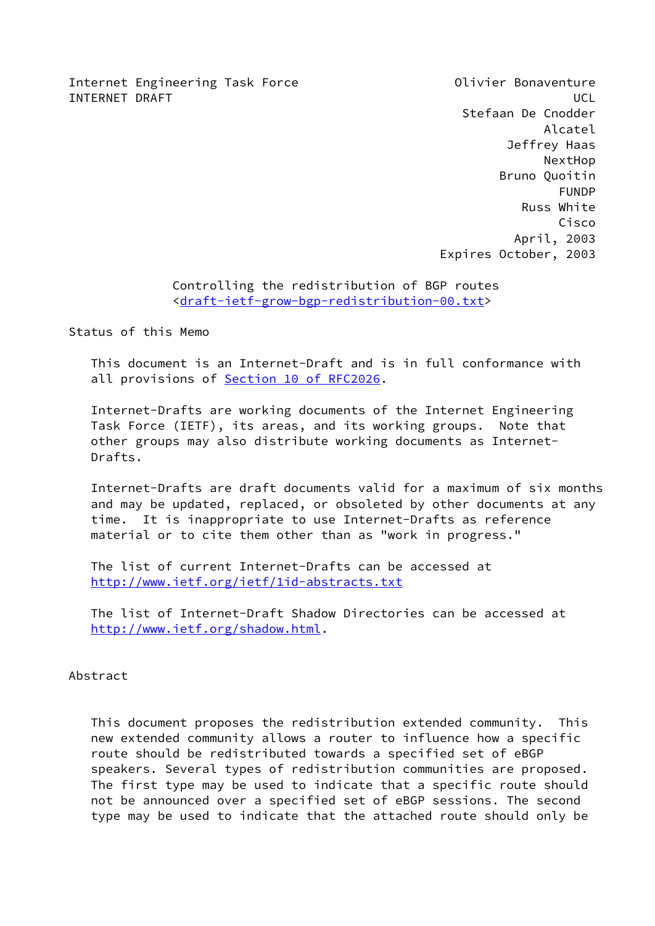Internet Engineering Task Force **Conservation** Olivier Bonaventure INTERNET DRAFT NEWSLET AND THE SERVICE OF THE SERVICE OF THE SERVICE OF THE SERVICE OF THE SERVICE OF THE SERVICE OF THE SERVICE OF THE SERVICE OF THE SERVICE OF THE SERVICE OF THE SERVICE OF THE SERVICE OF THE SERVICE OF

 Stefaan De Cnodder Alcatel Jeffrey Haas NextHop Bruno Quoitin FUNDP Russ White Cisco April, 2003 Expires October, 2003

# Controlling the redistribution of BGP routes <[draft-ietf-grow-bgp-redistribution-00.txt>](https://datatracker.ietf.org/doc/pdf/draft-ietf-grow-bgp-redistribution-00.txt)

Status of this Memo

 This document is an Internet-Draft and is in full conformance with all provisions of Section [10 of RFC2026.](https://datatracker.ietf.org/doc/pdf/rfc2026#section-10)

 Internet-Drafts are working documents of the Internet Engineering Task Force (IETF), its areas, and its working groups. Note that other groups may also distribute working documents as Internet- Drafts.

 Internet-Drafts are draft documents valid for a maximum of six months and may be updated, replaced, or obsoleted by other documents at any time. It is inappropriate to use Internet-Drafts as reference material or to cite them other than as "work in progress."

 The list of current Internet-Drafts can be accessed at <http://www.ietf.org/ietf/1id-abstracts.txt>

 The list of Internet-Draft Shadow Directories can be accessed at <http://www.ietf.org/shadow.html>.

#### Abstract

 This document proposes the redistribution extended community. This new extended community allows a router to influence how a specific route should be redistributed towards a specified set of eBGP speakers. Several types of redistribution communities are proposed. The first type may be used to indicate that a specific route should not be announced over a specified set of eBGP sessions. The second type may be used to indicate that the attached route should only be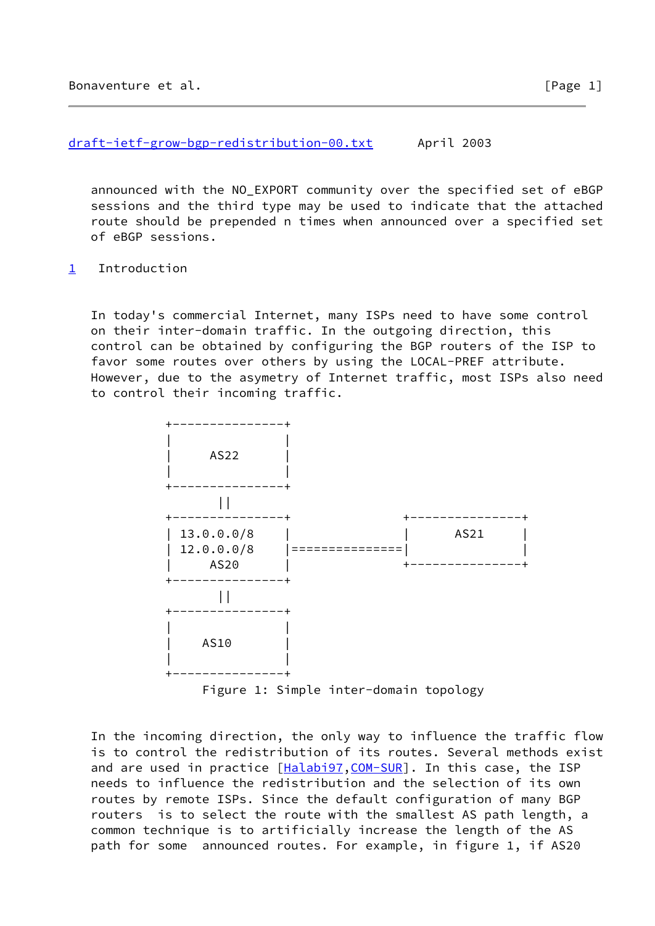[draft-ietf-grow-bgp-redistribution-00.txt](https://datatracker.ietf.org/doc/pdf/draft-ietf-grow-bgp-redistribution-00.txt) April 2003

 announced with the NO\_EXPORT community over the specified set of eBGP sessions and the third type may be used to indicate that the attached route should be prepended n times when announced over a specified set of eBGP sessions.

<span id="page-1-0"></span>[1](#page-1-0) Introduction

 In today's commercial Internet, many ISPs need to have some control on their inter-domain traffic. In the outgoing direction, this control can be obtained by configuring the BGP routers of the ISP to favor some routes over others by using the LOCAL-PREF attribute. However, due to the asymetry of Internet traffic, most ISPs also need to control their incoming traffic.



Figure 1: Simple inter-domain topology

 In the incoming direction, the only way to influence the traffic flow is to control the redistribution of its routes. Several methods exist and are used in practice [\[Halabi97](#page-12-0), [COM-SUR](#page-13-0)]. In this case, the ISP needs to influence the redistribution and the selection of its own routes by remote ISPs. Since the default configuration of many BGP routers is to select the route with the smallest AS path length, a common technique is to artificially increase the length of the AS path for some announced routes. For example, in figure 1, if AS20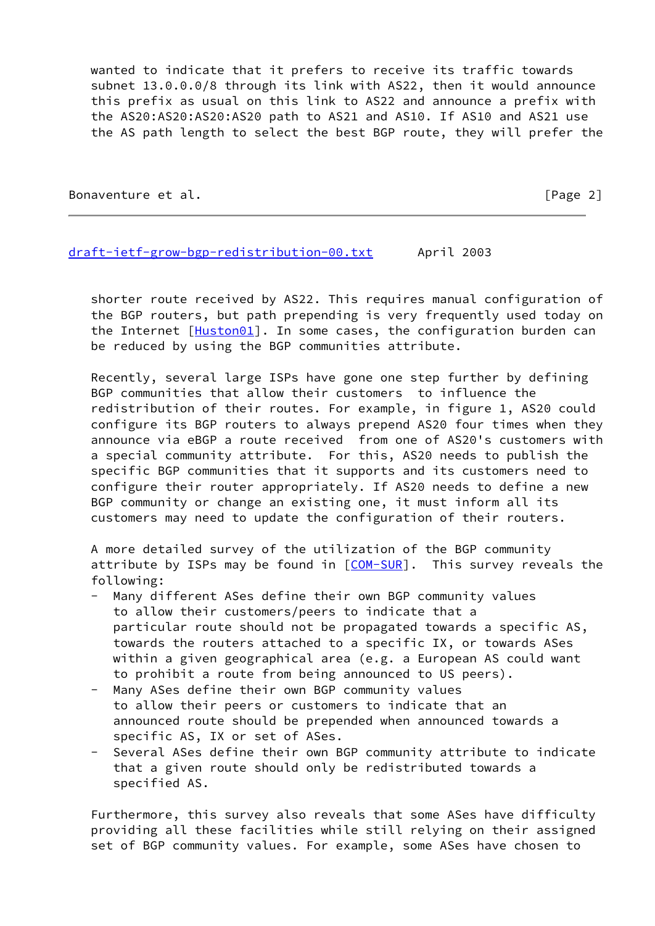wanted to indicate that it prefers to receive its traffic towards subnet 13.0.0.0/8 through its link with AS22, then it would announce this prefix as usual on this link to AS22 and announce a prefix with the AS20:AS20:AS20:AS20 path to AS21 and AS10. If AS10 and AS21 use the AS path length to select the best BGP route, they will prefer the

Bonaventure et al. **Example 2** and the set of the set of  $\left[\text{Page 2}\right]$ 

#### [draft-ietf-grow-bgp-redistribution-00.txt](https://datatracker.ietf.org/doc/pdf/draft-ietf-grow-bgp-redistribution-00.txt) April 2003

 shorter route received by AS22. This requires manual configuration of the BGP routers, but path prepending is very frequently used today on the Internet [\[Huston01](#page-13-1)]. In some cases, the configuration burden can be reduced by using the BGP communities attribute.

 Recently, several large ISPs have gone one step further by defining BGP communities that allow their customers to influence the redistribution of their routes. For example, in figure 1, AS20 could configure its BGP routers to always prepend AS20 four times when they announce via eBGP a route received from one of AS20's customers with a special community attribute. For this, AS20 needs to publish the specific BGP communities that it supports and its customers need to configure their router appropriately. If AS20 needs to define a new BGP community or change an existing one, it must inform all its customers may need to update the configuration of their routers.

 A more detailed survey of the utilization of the BGP community attribute by ISPs may be found in  $[COM-SUR]$  $[COM-SUR]$  $[COM-SUR]$ . This survey reveals the following:

- Many different ASes define their own BGP community values to allow their customers/peers to indicate that a particular route should not be propagated towards a specific AS, towards the routers attached to a specific IX, or towards ASes within a given geographical area (e.g. a European AS could want to prohibit a route from being announced to US peers).
- Many ASes define their own BGP community values to allow their peers or customers to indicate that an announced route should be prepended when announced towards a specific AS, IX or set of ASes.
- Several ASes define their own BGP community attribute to indicate that a given route should only be redistributed towards a specified AS.

 Furthermore, this survey also reveals that some ASes have difficulty providing all these facilities while still relying on their assigned set of BGP community values. For example, some ASes have chosen to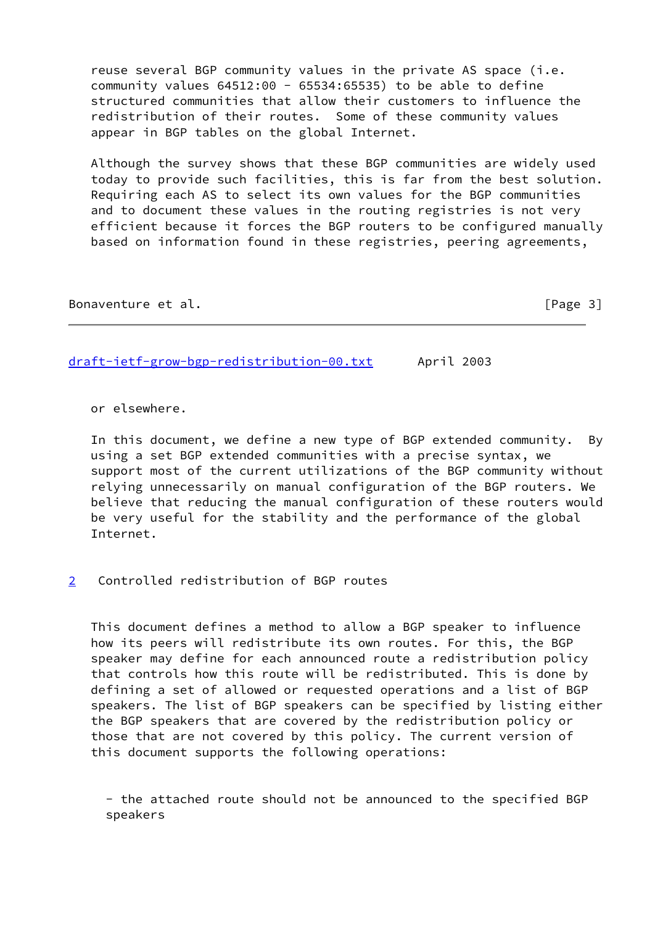reuse several BGP community values in the private AS space (i.e. community values 64512:00 - 65534:65535) to be able to define structured communities that allow their customers to influence the redistribution of their routes. Some of these community values appear in BGP tables on the global Internet.

 Although the survey shows that these BGP communities are widely used today to provide such facilities, this is far from the best solution. Requiring each AS to select its own values for the BGP communities and to document these values in the routing registries is not very efficient because it forces the BGP routers to be configured manually based on information found in these registries, peering agreements,

Bonaventure et al. **Example 20** and the set of the set of  $\left[\text{Page 3}\right]$ 

[draft-ietf-grow-bgp-redistribution-00.txt](https://datatracker.ietf.org/doc/pdf/draft-ietf-grow-bgp-redistribution-00.txt) April 2003

or elsewhere.

 In this document, we define a new type of BGP extended community. By using a set BGP extended communities with a precise syntax, we support most of the current utilizations of the BGP community without relying unnecessarily on manual configuration of the BGP routers. We believe that reducing the manual configuration of these routers would be very useful for the stability and the performance of the global Internet.

<span id="page-3-0"></span>[2](#page-3-0) Controlled redistribution of BGP routes

 This document defines a method to allow a BGP speaker to influence how its peers will redistribute its own routes. For this, the BGP speaker may define for each announced route a redistribution policy that controls how this route will be redistributed. This is done by defining a set of allowed or requested operations and a list of BGP speakers. The list of BGP speakers can be specified by listing either the BGP speakers that are covered by the redistribution policy or those that are not covered by this policy. The current version of this document supports the following operations:

 - the attached route should not be announced to the specified BGP speakers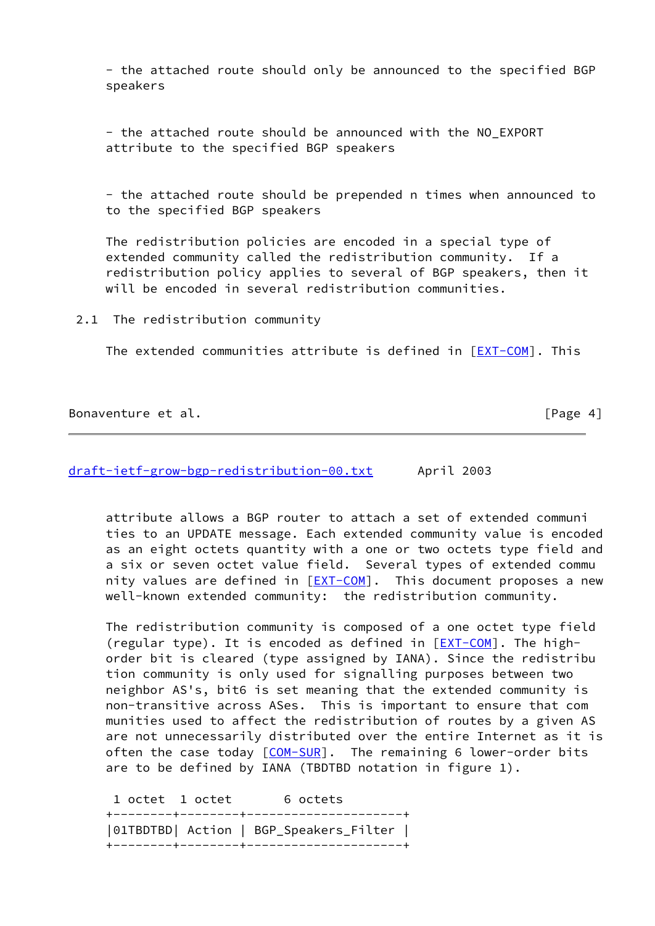- the attached route should only be announced to the specified BGP speakers

 - the attached route should be announced with the NO\_EXPORT attribute to the specified BGP speakers

 - the attached route should be prepended n times when announced to to the specified BGP speakers

 The redistribution policies are encoded in a special type of extended community called the redistribution community. If a redistribution policy applies to several of BGP speakers, then it will be encoded in several redistribution communities.

2.1 The redistribution community

The extended communities attribute is defined in [[EXT-COM\]](#page-13-2). This

Bonaventure et al. **Example 2018** Sonaventure et al.

[draft-ietf-grow-bgp-redistribution-00.txt](https://datatracker.ietf.org/doc/pdf/draft-ietf-grow-bgp-redistribution-00.txt) April 2003

 attribute allows a BGP router to attach a set of extended communi ties to an UPDATE message. Each extended community value is encoded as an eight octets quantity with a one or two octets type field and a six or seven octet value field. Several types of extended commu nity values are defined in [\[EXT-COM](#page-13-2)]. This document proposes a new well-known extended community: the redistribution community.

 The redistribution community is composed of a one octet type field (regular type). It is encoded as defined in  $[EXT-COM]$  $[EXT-COM]$  $[EXT-COM]$ . The high order bit is cleared (type assigned by IANA). Since the redistribu tion community is only used for signalling purposes between two neighbor AS's, bit6 is set meaning that the extended community is non-transitive across ASes. This is important to ensure that com munities used to affect the redistribution of routes by a given AS are not unnecessarily distributed over the entire Internet as it is often the case today  $[COM-SUR]$  $[COM-SUR]$ . The remaining 6 lower-order bits are to be defined by IANA (TBDTBD notation in figure 1).

1 octet 1 octet 6 octets +--------+--------+---------------------+ |01TBDTBD| Action | BGP\_Speakers\_Filter | +--------+--------+---------------------+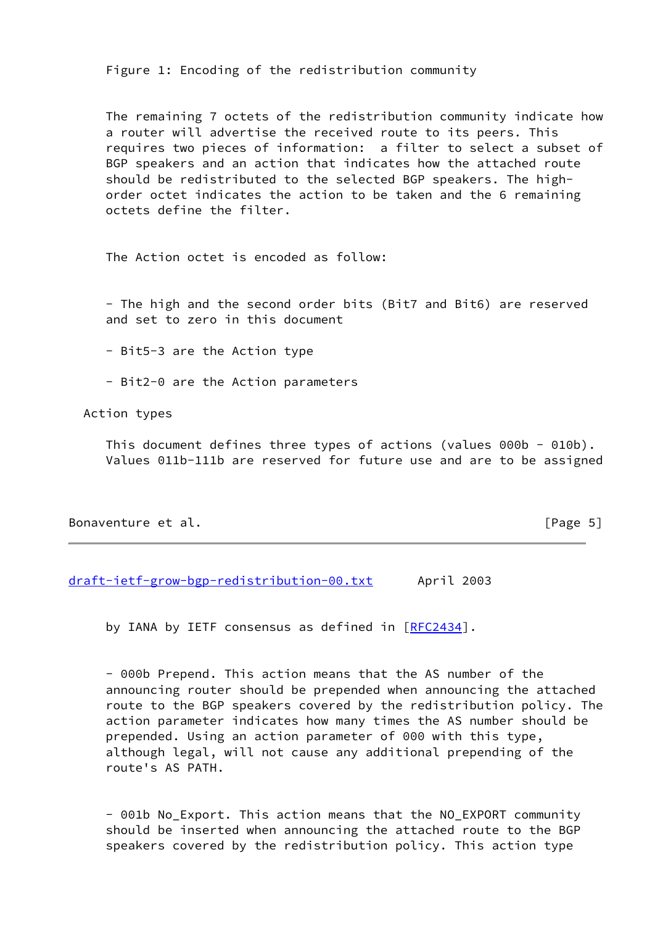Figure 1: Encoding of the redistribution community

 The remaining 7 octets of the redistribution community indicate how a router will advertise the received route to its peers. This requires two pieces of information: a filter to select a subset of BGP speakers and an action that indicates how the attached route should be redistributed to the selected BGP speakers. The high order octet indicates the action to be taken and the 6 remaining octets define the filter.

The Action octet is encoded as follow:

 - The high and the second order bits (Bit7 and Bit6) are reserved and set to zero in this document

- Bit5-3 are the Action type

- Bit2-0 are the Action parameters

Action types

 This document defines three types of actions (values 000b - 010b). Values 011b-111b are reserved for future use and are to be assigned

## Bonaventure et al. **Example 2018** Sonaventure et al.

[draft-ietf-grow-bgp-redistribution-00.txt](https://datatracker.ietf.org/doc/pdf/draft-ietf-grow-bgp-redistribution-00.txt) April 2003

by IANA by IETF consensus as defined in [[RFC2434](https://datatracker.ietf.org/doc/pdf/rfc2434)].

 - 000b Prepend. This action means that the AS number of the announcing router should be prepended when announcing the attached route to the BGP speakers covered by the redistribution policy. The action parameter indicates how many times the AS number should be prepended. Using an action parameter of 000 with this type, although legal, will not cause any additional prepending of the route's AS PATH.

 - 001b No\_Export. This action means that the NO\_EXPORT community should be inserted when announcing the attached route to the BGP speakers covered by the redistribution policy. This action type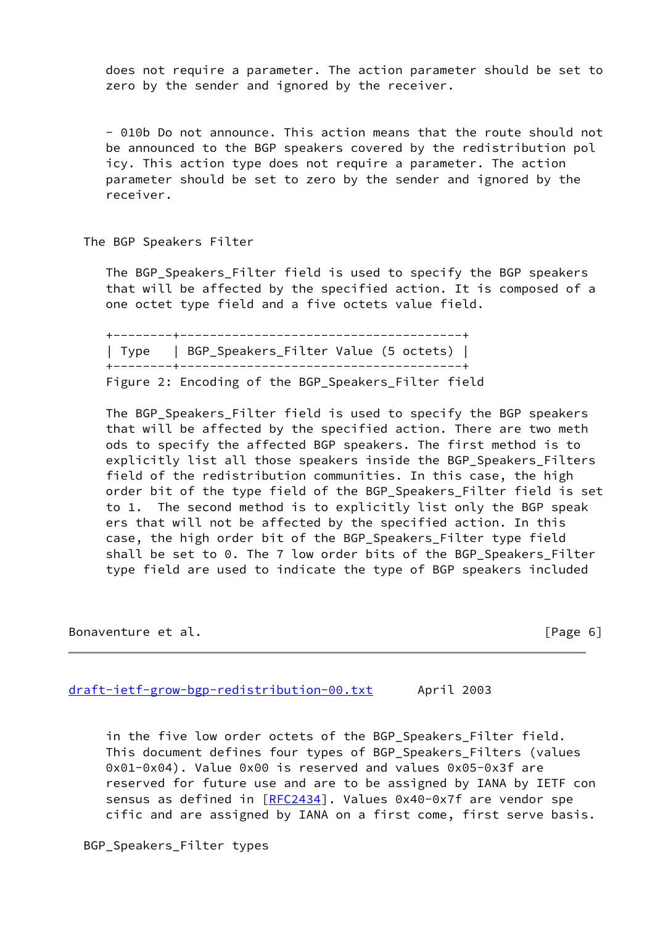does not require a parameter. The action parameter should be set to zero by the sender and ignored by the receiver.

 - 010b Do not announce. This action means that the route should not be announced to the BGP speakers covered by the redistribution pol icy. This action type does not require a parameter. The action parameter should be set to zero by the sender and ignored by the receiver.

The BGP Speakers Filter

 The BGP\_Speakers\_Filter field is used to specify the BGP speakers that will be affected by the specified action. It is composed of a one octet type field and a five octets value field.

 +--------+--------------------------------------+ | Type | BGP\_Speakers\_Filter Value (5 octets) | +--------+--------------------------------------+ Figure 2: Encoding of the BGP\_Speakers\_Filter field

 The BGP\_Speakers\_Filter field is used to specify the BGP speakers that will be affected by the specified action. There are two meth ods to specify the affected BGP speakers. The first method is to explicitly list all those speakers inside the BGP\_Speakers\_Filters field of the redistribution communities. In this case, the high order bit of the type field of the BGP\_Speakers\_Filter field is set to 1. The second method is to explicitly list only the BGP speak ers that will not be affected by the specified action. In this case, the high order bit of the BGP\_Speakers\_Filter type field shall be set to 0. The 7 low order bits of the BGP Speakers Filter type field are used to indicate the type of BGP speakers included

Bonaventure et al. **Example 2018** and the set of the set of  $[Page 6]$ 

[draft-ietf-grow-bgp-redistribution-00.txt](https://datatracker.ietf.org/doc/pdf/draft-ietf-grow-bgp-redistribution-00.txt) April 2003

 in the five low order octets of the BGP\_Speakers\_Filter field. This document defines four types of BGP\_Speakers\_Filters (values 0x01-0x04). Value 0x00 is reserved and values 0x05-0x3f are reserved for future use and are to be assigned by IANA by IETF con sensus as defined in [\[RFC2434](https://datatracker.ietf.org/doc/pdf/rfc2434)]. Values 0x40-0x7f are vendor spe cific and are assigned by IANA on a first come, first serve basis.

BGP\_Speakers\_Filter types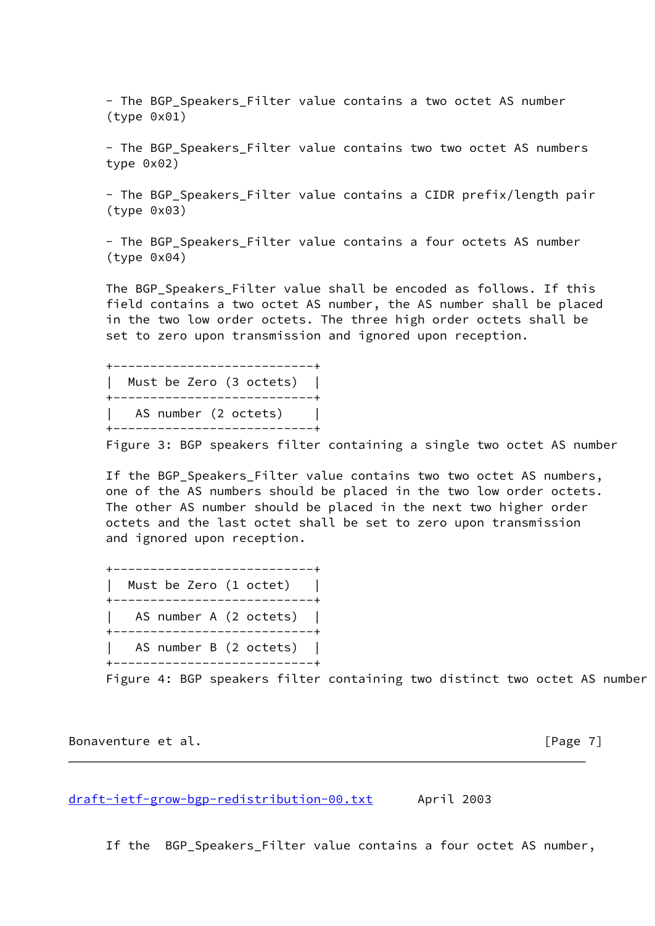- The BGP Speakers Filter value contains a two octet AS number (type 0x01)

- The BGP Speakers Filter value contains two two octet AS numbers type 0x02)

 - The BGP\_Speakers\_Filter value contains a CIDR prefix/length pair (type 0x03)

 - The BGP\_Speakers\_Filter value contains a four octets AS number (type 0x04)

 The BGP\_Speakers\_Filter value shall be encoded as follows. If this field contains a two octet AS number, the AS number shall be placed in the two low order octets. The three high order octets shall be set to zero upon transmission and ignored upon reception.

 +---------------------------+ | Must be Zero (3 octets) | +---------------------------+ AS number (2 octets) +---------------------------+

Figure 3: BGP speakers filter containing a single two octet AS number

 If the BGP\_Speakers\_Filter value contains two two octet AS numbers, one of the AS numbers should be placed in the two low order octets. The other AS number should be placed in the next two higher order octets and the last octet shall be set to zero upon transmission and ignored upon reception.

 +---------------------------+ | Must be Zero (1 octet) | +---------------------------+ | AS number A (2 octets) | +---------------------------+ AS number B (2 octets) +---------------------------+

Figure 4: BGP speakers filter containing two distinct two octet AS number

Bonaventure et al. **Example 2018** [Page 7]

[draft-ietf-grow-bgp-redistribution-00.txt](https://datatracker.ietf.org/doc/pdf/draft-ietf-grow-bgp-redistribution-00.txt) April 2003

If the BGP\_Speakers\_Filter value contains a four octet AS number,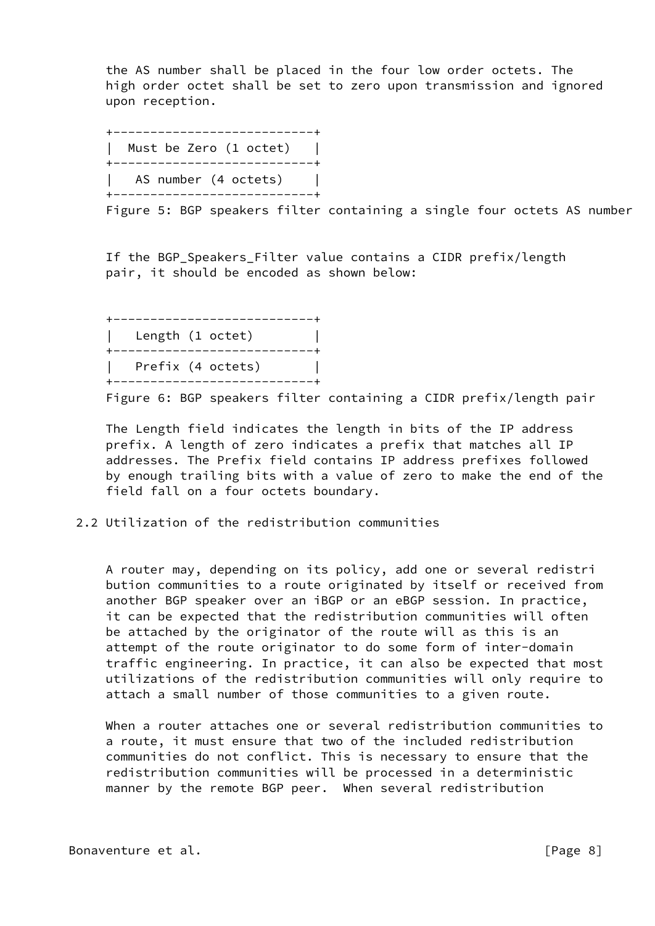the AS number shall be placed in the four low order octets. The high order octet shall be set to zero upon transmission and ignored upon reception.

 +---------------------------+ | Must be Zero (1 octet) | +---------------------------+ | AS number (4 octets) | +---------------------------+

Figure 5: BGP speakers filter containing a single four octets AS number

 If the BGP\_Speakers\_Filter value contains a CIDR prefix/length pair, it should be encoded as shown below:

|                  | ------------      |  |
|------------------|-------------------|--|
| Length (1 octet) |                   |  |
|                  | ----------        |  |
|                  | Prefix (4 octets) |  |
|                  |                   |  |

Figure 6: BGP speakers filter containing a CIDR prefix/length pair

 The Length field indicates the length in bits of the IP address prefix. A length of zero indicates a prefix that matches all IP addresses. The Prefix field contains IP address prefixes followed by enough trailing bits with a value of zero to make the end of the field fall on a four octets boundary.

## 2.2 Utilization of the redistribution communities

 A router may, depending on its policy, add one or several redistri bution communities to a route originated by itself or received from another BGP speaker over an iBGP or an eBGP session. In practice, it can be expected that the redistribution communities will often be attached by the originator of the route will as this is an attempt of the route originator to do some form of inter-domain traffic engineering. In practice, it can also be expected that most utilizations of the redistribution communities will only require to attach a small number of those communities to a given route.

 When a router attaches one or several redistribution communities to a route, it must ensure that two of the included redistribution communities do not conflict. This is necessary to ensure that the redistribution communities will be processed in a deterministic manner by the remote BGP peer. When several redistribution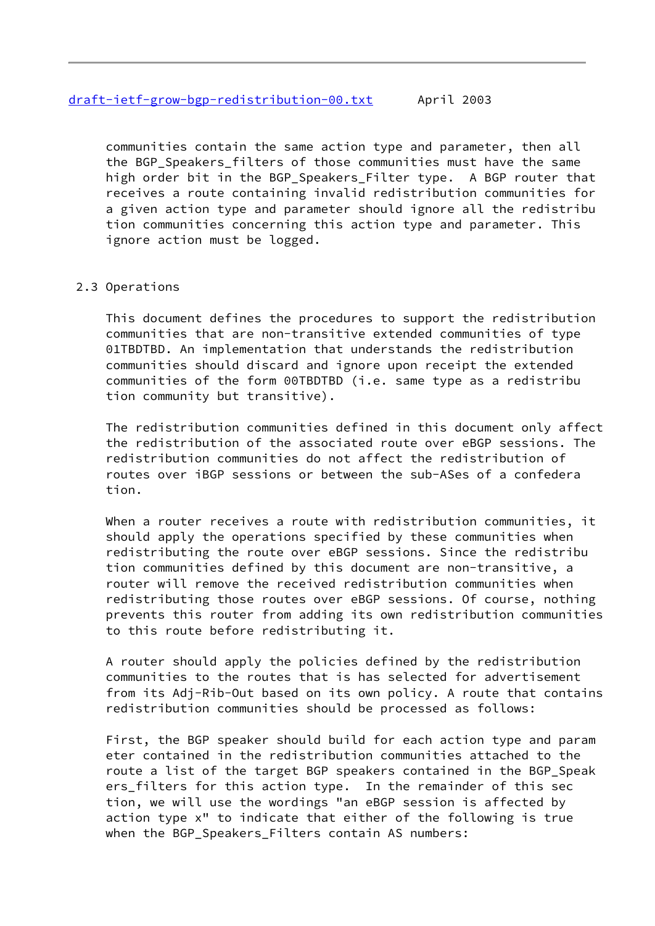communities contain the same action type and parameter, then all the BGP Speakers filters of those communities must have the same high order bit in the BGP Speakers Filter type. A BGP router that receives a route containing invalid redistribution communities for a given action type and parameter should ignore all the redistribu tion communities concerning this action type and parameter. This ignore action must be logged.

# 2.3 Operations

 This document defines the procedures to support the redistribution communities that are non-transitive extended communities of type 01TBDTBD. An implementation that understands the redistribution communities should discard and ignore upon receipt the extended communities of the form 00TBDTBD (i.e. same type as a redistribu tion community but transitive).

 The redistribution communities defined in this document only affect the redistribution of the associated route over eBGP sessions. The redistribution communities do not affect the redistribution of routes over iBGP sessions or between the sub-ASes of a confedera tion.

 When a router receives a route with redistribution communities, it should apply the operations specified by these communities when redistributing the route over eBGP sessions. Since the redistribu tion communities defined by this document are non-transitive, a router will remove the received redistribution communities when redistributing those routes over eBGP sessions. Of course, nothing prevents this router from adding its own redistribution communities to this route before redistributing it.

 A router should apply the policies defined by the redistribution communities to the routes that is has selected for advertisement from its Adj-Rib-Out based on its own policy. A route that contains redistribution communities should be processed as follows:

 First, the BGP speaker should build for each action type and param eter contained in the redistribution communities attached to the route a list of the target BGP speakers contained in the BGP\_Speak ers\_filters for this action type. In the remainder of this sec tion, we will use the wordings "an eBGP session is affected by action type x" to indicate that either of the following is true when the BGP\_Speakers\_Filters contain AS numbers: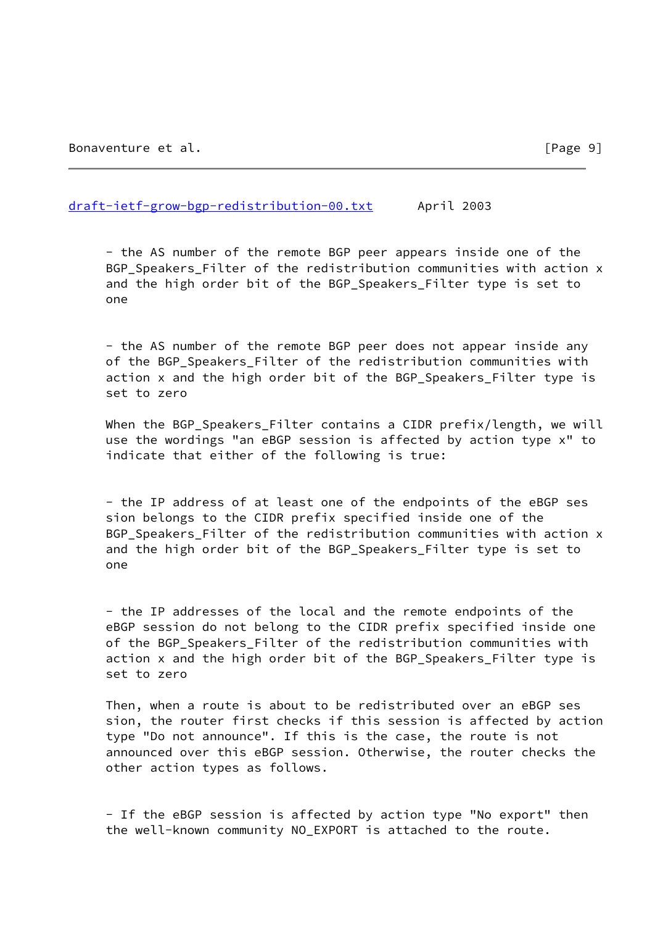#### [draft-ietf-grow-bgp-redistribution-00.txt](https://datatracker.ietf.org/doc/pdf/draft-ietf-grow-bgp-redistribution-00.txt) April 2003

 - the AS number of the remote BGP peer appears inside one of the BGP Speakers Filter of the redistribution communities with action x and the high order bit of the BGP\_Speakers\_Filter type is set to one

 - the AS number of the remote BGP peer does not appear inside any of the BGP Speakers Filter of the redistribution communities with action x and the high order bit of the BGP\_Speakers\_Filter type is set to zero

 When the BGP\_Speakers\_Filter contains a CIDR prefix/length, we will use the wordings "an eBGP session is affected by action type x" to indicate that either of the following is true:

 - the IP address of at least one of the endpoints of the eBGP ses sion belongs to the CIDR prefix specified inside one of the BGP Speakers Filter of the redistribution communities with action x and the high order bit of the BGP\_Speakers\_Filter type is set to one

 - the IP addresses of the local and the remote endpoints of the eBGP session do not belong to the CIDR prefix specified inside one of the BGP\_Speakers\_Filter of the redistribution communities with action x and the high order bit of the BGP\_Speakers\_Filter type is set to zero

 Then, when a route is about to be redistributed over an eBGP ses sion, the router first checks if this session is affected by action type "Do not announce". If this is the case, the route is not announced over this eBGP session. Otherwise, the router checks the other action types as follows.

 - If the eBGP session is affected by action type "No export" then the well-known community NO\_EXPORT is attached to the route.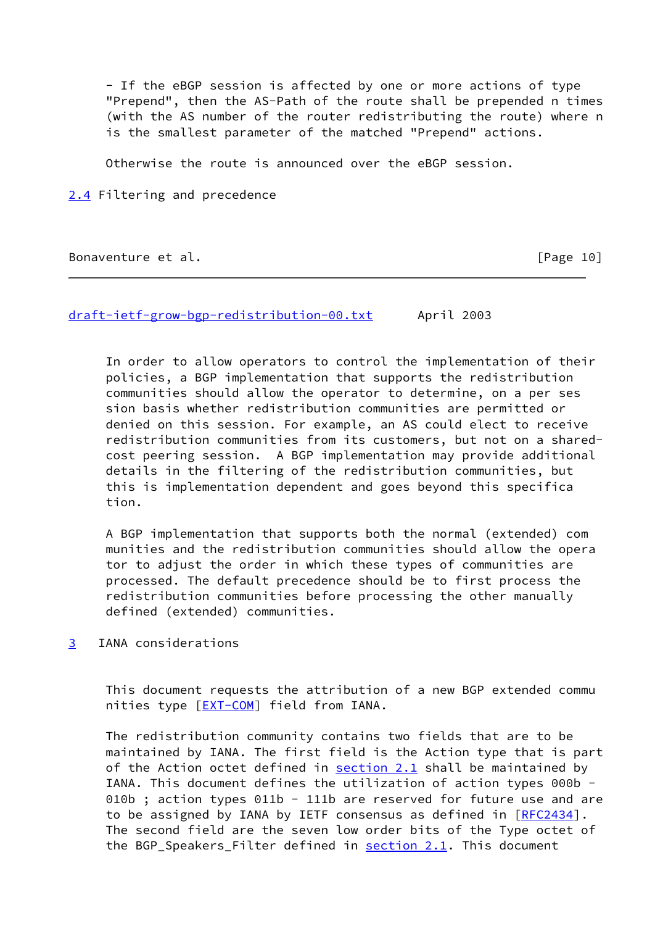- If the eBGP session is affected by one or more actions of type "Prepend", then the AS-Path of the route shall be prepended n times (with the AS number of the router redistributing the route) where n is the smallest parameter of the matched "Prepend" actions.

Otherwise the route is announced over the eBGP session.

<span id="page-11-0"></span>[2.4](#page-11-0) Filtering and precedence

Bonaventure et al. **Example 2018** [Page 10]

[draft-ietf-grow-bgp-redistribution-00.txt](https://datatracker.ietf.org/doc/pdf/draft-ietf-grow-bgp-redistribution-00.txt) April 2003

 In order to allow operators to control the implementation of their policies, a BGP implementation that supports the redistribution communities should allow the operator to determine, on a per ses sion basis whether redistribution communities are permitted or denied on this session. For example, an AS could elect to receive redistribution communities from its customers, but not on a shared cost peering session. A BGP implementation may provide additional details in the filtering of the redistribution communities, but this is implementation dependent and goes beyond this specifica tion.

 A BGP implementation that supports both the normal (extended) com munities and the redistribution communities should allow the opera tor to adjust the order in which these types of communities are processed. The default precedence should be to first process the redistribution communities before processing the other manually defined (extended) communities.

<span id="page-11-1"></span>[3](#page-11-1) IANA considerations

 This document requests the attribution of a new BGP extended commu nities type [[EXT-COM](#page-13-2)] field from IANA.

 The redistribution community contains two fields that are to be maintained by IANA. The first field is the Action type that is part of the Action octet defined in section 2.1 shall be maintained by IANA. This document defines the utilization of action types 000b - 010b ; action types 011b - 111b are reserved for future use and are to be assigned by IANA by IETF consensus as defined in [\[RFC2434](https://datatracker.ietf.org/doc/pdf/rfc2434)]. The second field are the seven low order bits of the Type octet of the BGP\_Speakers\_Filter defined in  $section 2.1$ . This document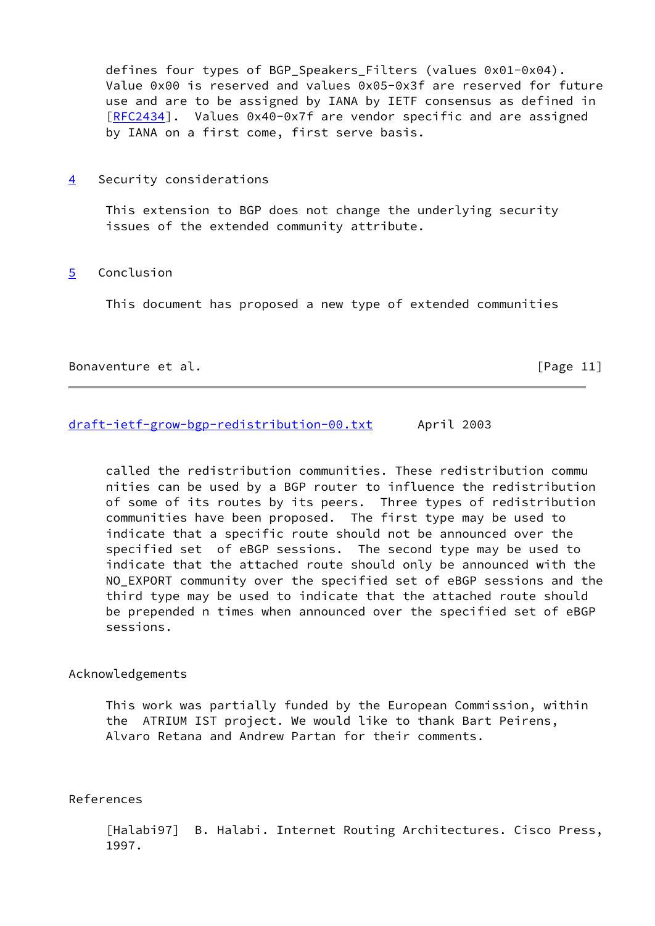defines four types of BGP Speakers Filters (values 0x01-0x04). Value 0x00 is reserved and values 0x05-0x3f are reserved for future use and are to be assigned by IANA by IETF consensus as defined in [[RFC2434](https://datatracker.ietf.org/doc/pdf/rfc2434)]. Values 0x40-0x7f are vendor specific and are assigned by IANA on a first come, first serve basis.

<span id="page-12-1"></span>[4](#page-12-1) Security considerations

 This extension to BGP does not change the underlying security issues of the extended community attribute.

<span id="page-12-2"></span>[5](#page-12-2) Conclusion

This document has proposed a new type of extended communities

#### Bonaventure et al. **Example 2018** Sonaventure et al.

## [draft-ietf-grow-bgp-redistribution-00.txt](https://datatracker.ietf.org/doc/pdf/draft-ietf-grow-bgp-redistribution-00.txt) April 2003

 called the redistribution communities. These redistribution commu nities can be used by a BGP router to influence the redistribution of some of its routes by its peers. Three types of redistribution communities have been proposed. The first type may be used to indicate that a specific route should not be announced over the specified set of eBGP sessions. The second type may be used to indicate that the attached route should only be announced with the NO\_EXPORT community over the specified set of eBGP sessions and the third type may be used to indicate that the attached route should be prepended n times when announced over the specified set of eBGP sessions.

# Acknowledgements

 This work was partially funded by the European Commission, within the ATRIUM IST project. We would like to thank Bart Peirens, Alvaro Retana and Andrew Partan for their comments.

## References

<span id="page-12-0"></span> [Halabi97] B. Halabi. Internet Routing Architectures. Cisco Press, 1997.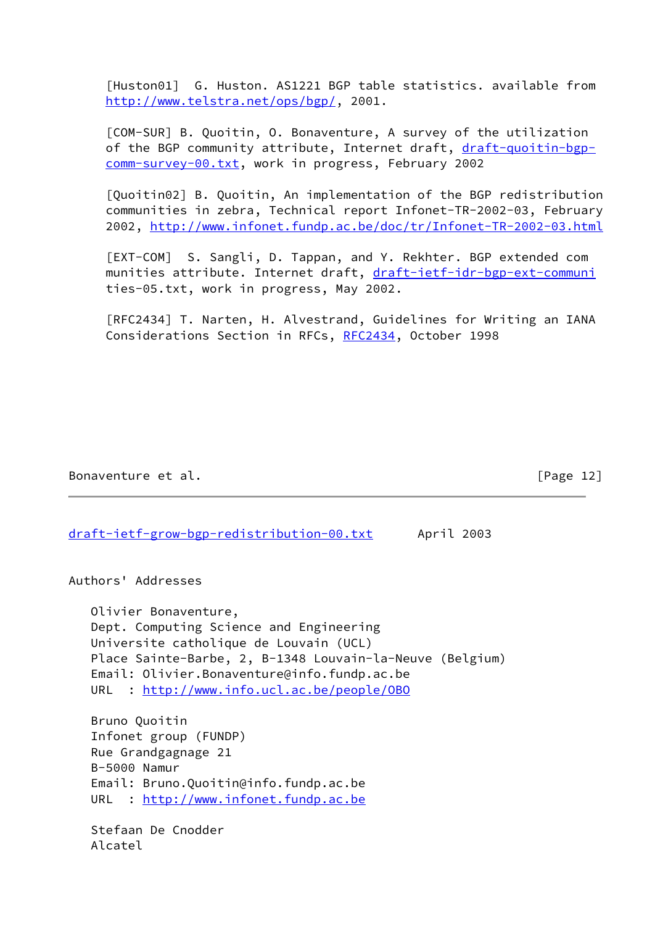<span id="page-13-1"></span> [Huston01] G. Huston. AS1221 BGP table statistics. available from <http://www.telstra.net/ops/bgp/>, 2001.

<span id="page-13-0"></span> [COM-SUR] B. Quoitin, O. Bonaventure, A survey of the utilization of the BGP community attribute, Internet draft, [draft-quoitin-bgp](https://datatracker.ietf.org/doc/pdf/draft-quoitin-bgp-comm-survey-00.txt) [comm-survey-00.txt,](https://datatracker.ietf.org/doc/pdf/draft-quoitin-bgp-comm-survey-00.txt) work in progress, February 2002

<span id="page-13-3"></span> [Quoitin02] B. Quoitin, An implementation of the BGP redistribution communities in zebra, Technical report Infonet-TR-2002-03, February 2002,<http://www.infonet.fundp.ac.be/doc/tr/Infonet-TR-2002-03.html>

<span id="page-13-2"></span> [EXT-COM] S. Sangli, D. Tappan, and Y. Rekhter. BGP extended com munities attribute. Internet draft, [draft-ietf-idr-bgp-ext-communi](https://datatracker.ietf.org/doc/pdf/draft-ietf-idr-bgp-ext-communi) ties-05.txt, work in progress, May 2002.

 [RFC2434] T. Narten, H. Alvestrand, Guidelines for Writing an IANA Considerations Section in RFCs, [RFC2434](https://datatracker.ietf.org/doc/pdf/rfc2434), October 1998

Bonaventure et al. **Example 20** and EPage 12]

[draft-ietf-grow-bgp-redistribution-00.txt](https://datatracker.ietf.org/doc/pdf/draft-ietf-grow-bgp-redistribution-00.txt) April 2003

Authors' Addresses

 Olivier Bonaventure, Dept. Computing Science and Engineering Universite catholique de Louvain (UCL) Place Sainte-Barbe, 2, B-1348 Louvain-la-Neuve (Belgium) Email: Olivier.Bonaventure@info.fundp.ac.be URL : <http://www.info.ucl.ac.be/people/OBO>

 Bruno Quoitin Infonet group (FUNDP) Rue Grandgagnage 21 B-5000 Namur Email: Bruno.Quoitin@info.fundp.ac.be URL : <http://www.infonet.fundp.ac.be>

 Stefaan De Cnodder Alcatel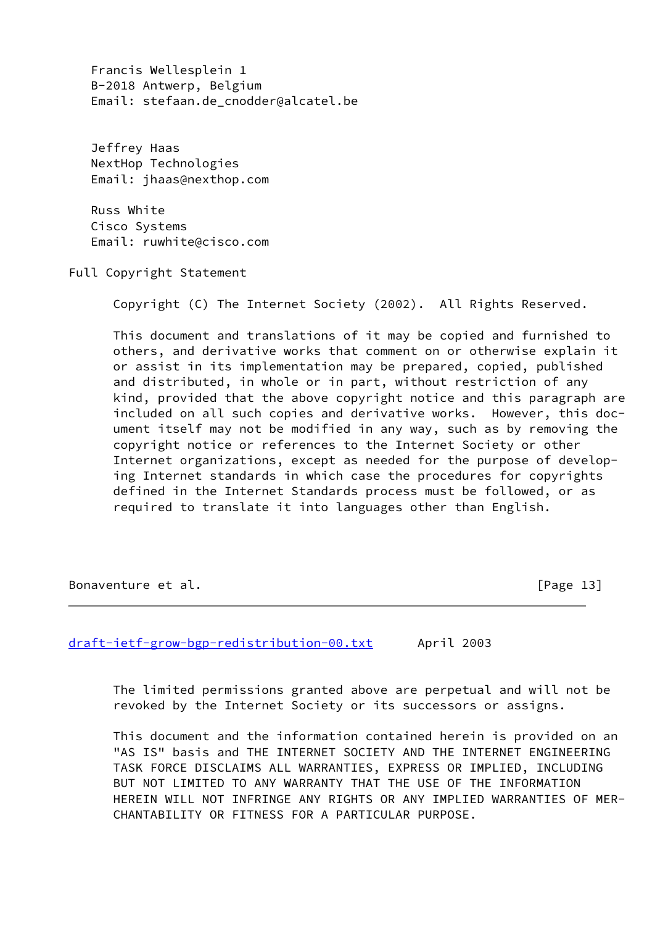Francis Wellesplein 1 B-2018 Antwerp, Belgium Email: stefaan.de cnodder@alcatel.be

 Jeffrey Haas NextHop Technologies Email: jhaas@nexthop.com

 Russ White Cisco Systems Email: ruwhite@cisco.com

Full Copyright Statement

Copyright (C) The Internet Society (2002). All Rights Reserved.

 This document and translations of it may be copied and furnished to others, and derivative works that comment on or otherwise explain it or assist in its implementation may be prepared, copied, published and distributed, in whole or in part, without restriction of any kind, provided that the above copyright notice and this paragraph are included on all such copies and derivative works. However, this doc ument itself may not be modified in any way, such as by removing the copyright notice or references to the Internet Society or other Internet organizations, except as needed for the purpose of develop ing Internet standards in which case the procedures for copyrights defined in the Internet Standards process must be followed, or as required to translate it into languages other than English.

Bonaventure et al. [Page 13]

[draft-ietf-grow-bgp-redistribution-00.txt](https://datatracker.ietf.org/doc/pdf/draft-ietf-grow-bgp-redistribution-00.txt) April 2003

 The limited permissions granted above are perpetual and will not be revoked by the Internet Society or its successors or assigns.

 This document and the information contained herein is provided on an "AS IS" basis and THE INTERNET SOCIETY AND THE INTERNET ENGINEERING TASK FORCE DISCLAIMS ALL WARRANTIES, EXPRESS OR IMPLIED, INCLUDING BUT NOT LIMITED TO ANY WARRANTY THAT THE USE OF THE INFORMATION HEREIN WILL NOT INFRINGE ANY RIGHTS OR ANY IMPLIED WARRANTIES OF MER- CHANTABILITY OR FITNESS FOR A PARTICULAR PURPOSE.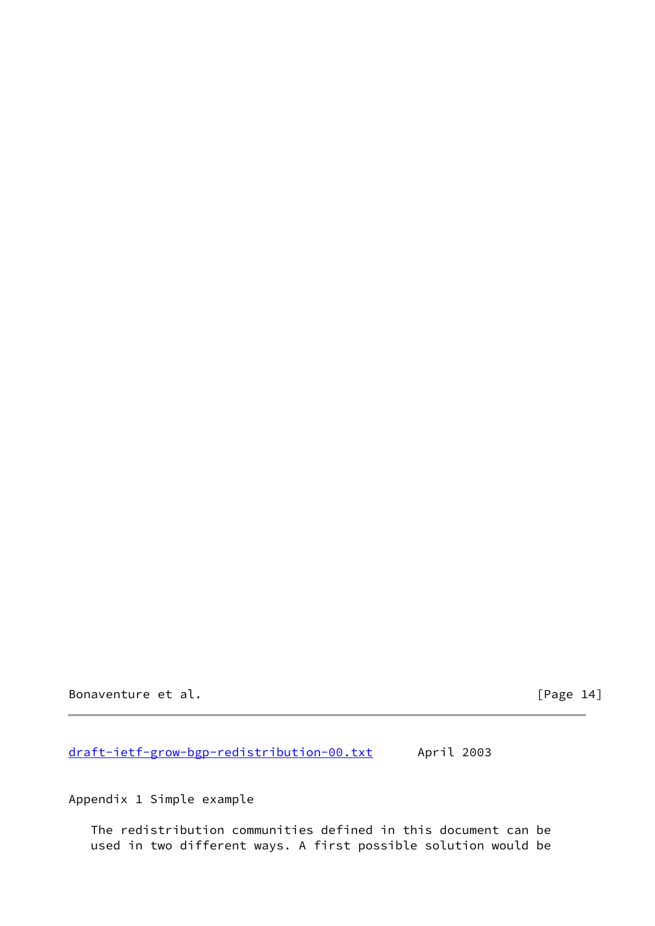Bonaventure et al. **Example 2018** [Page 14]

[draft-ietf-grow-bgp-redistribution-00.txt](https://datatracker.ietf.org/doc/pdf/draft-ietf-grow-bgp-redistribution-00.txt) April 2003

Appendix 1 Simple example

 The redistribution communities defined in this document can be used in two different ways. A first possible solution would be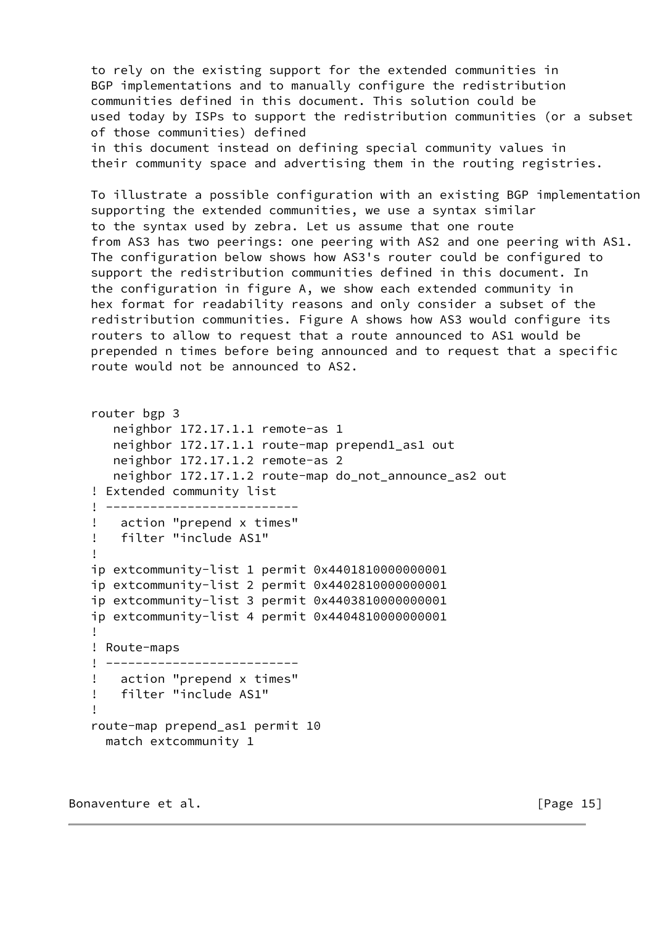to rely on the existing support for the extended communities in BGP implementations and to manually configure the redistribution communities defined in this document. This solution could be used today by ISPs to support the redistribution communities (or a subset of those communities) defined in this document instead on defining special community values in their community space and advertising them in the routing registries.

 To illustrate a possible configuration with an existing BGP implementation supporting the extended communities, we use a syntax similar to the syntax used by zebra. Let us assume that one route from AS3 has two peerings: one peering with AS2 and one peering with AS1. The configuration below shows how AS3's router could be configured to support the redistribution communities defined in this document. In the configuration in figure A, we show each extended community in hex format for readability reasons and only consider a subset of the redistribution communities. Figure A shows how AS3 would configure its routers to allow to request that a route announced to AS1 would be prepended n times before being announced and to request that a specific route would not be announced to AS2.

```
 router bgp 3
      neighbor 172.17.1.1 remote-as 1
      neighbor 172.17.1.1 route-map prepend1_as1 out
      neighbor 172.17.1.2 remote-as 2
      neighbor 172.17.1.2 route-map do_not_announce_as2 out
   ! Extended community list
   ! --------------------------
   ! action "prepend x times"
   ! filter "include AS1"
   !
   ip extcommunity-list 1 permit 0x4401810000000001
   ip extcommunity-list 2 permit 0x4402810000000001
   ip extcommunity-list 3 permit 0x4403810000000001
   ip extcommunity-list 4 permit 0x4404810000000001
   !
   ! Route-maps
   ! --------------------------
   ! action "prepend x times"
   ! filter "include AS1"
!
   route-map prepend_as1 permit 10
    match extcommunity 1
```
Bonaventure et al. **Example 2018** [Page 15]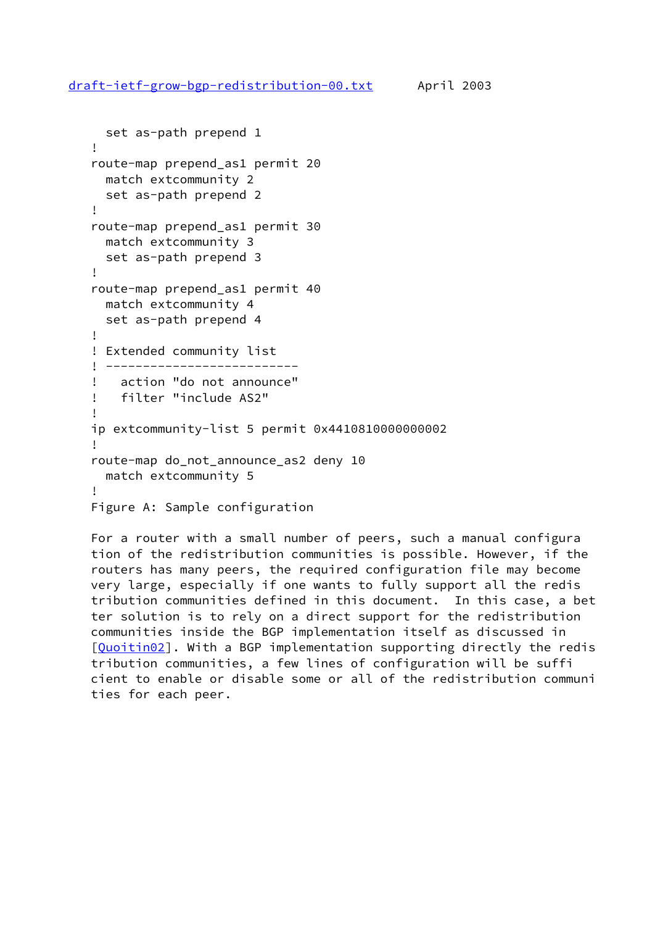```
 set as-path prepend 1
   !
   route-map prepend_as1 permit 20
     match extcommunity 2
     set as-path prepend 2
   !
   route-map prepend_as1 permit 30
     match extcommunity 3
     set as-path prepend 3
   !
   route-map prepend_as1 permit 40
     match extcommunity 4
     set as-path prepend 4
   !
   ! Extended community list
   ! --------------------------
   ! action "do not announce"
   ! filter "include AS2"
!
   ip extcommunity-list 5 permit 0x4410810000000002
!
   route-map do_not_announce_as2 deny 10
     match extcommunity 5
!
  Figure A: Sample configuration
```
 For a router with a small number of peers, such a manual configura tion of the redistribution communities is possible. However, if the routers has many peers, the required configuration file may become very large, especially if one wants to fully support all the redis tribution communities defined in this document. In this case, a bet ter solution is to rely on a direct support for the redistribution communities inside the BGP implementation itself as discussed in [\[Quoitin02](#page-13-3)]. With a BGP implementation supporting directly the redis tribution communities, a few lines of configuration will be suffi cient to enable or disable some or all of the redistribution communi ties for each peer.